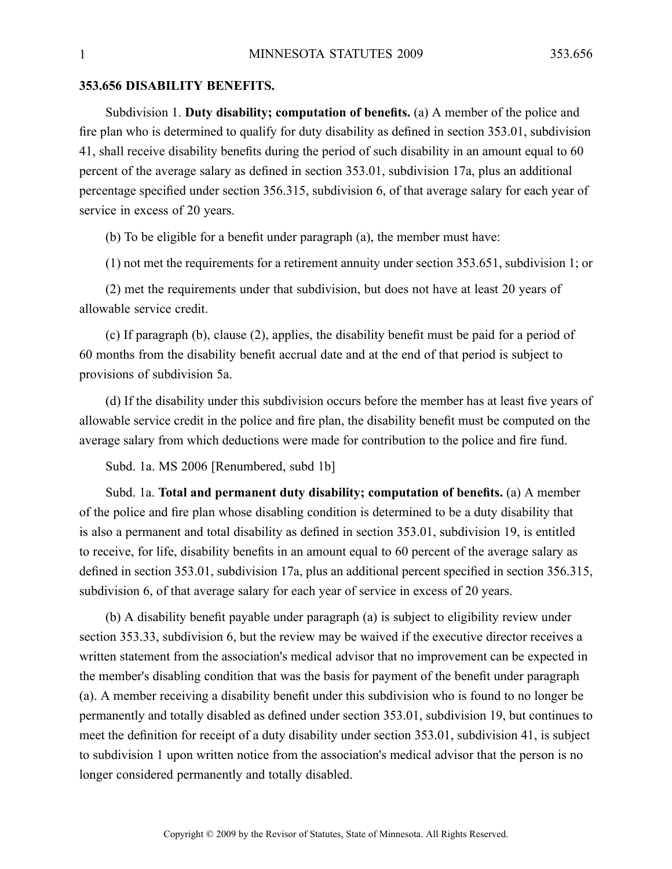## **353.656 DISABILITY BENEFITS.**

Subdivision 1. **Duty disability; computation of benefits.** (a) A member of the police and fire plan who is determined to qualify for duty disability as defined in section 353.01, subdivision 41, shall receive disability benefits during the period of such disability in an amount equal to 60 percen<sup>t</sup> of the average salary as defined in section 353.01, subdivision 17a, plus an additional percentage specified under section 356.315, subdivision 6, of that average salary for each year of service in excess of 20 years.

(b) To be eligible for <sup>a</sup> benefit under paragraph (a), the member must have:

(1) not met the requirements for <sup>a</sup> retirement annuity under section 353.651, subdivision 1; or

(2) met the requirements under that subdivision, but does not have at least 20 years of allowable service credit.

(c) If paragraph (b), clause (2), applies, the disability benefit must be paid for <sup>a</sup> period of 60 months from the disability benefit accrual date and at the end of that period is subject to provisions of subdivision 5a.

(d) If the disability under this subdivision occurs before the member has at least five years of allowable service credit in the police and fire plan, the disability benefit must be computed on the average salary from which deductions were made for contribution to the police and fire fund.

Subd. 1a. MS 2006 [Renumbered, subd 1b]

Subd. 1a. **Total and permanen<sup>t</sup> duty disability; computation of benefits.** (a) A member of the police and fire plan whose disabling condition is determined to be <sup>a</sup> duty disability that is also <sup>a</sup> permanen<sup>t</sup> and total disability as defined in section 353.01, subdivision 19, is entitled to receive, for life, disability benefits in an amount equal to 60 percen<sup>t</sup> of the average salary as defined in section 353.01, subdivision 17a, plus an additional percen<sup>t</sup> specified in section 356.315, subdivision 6, of that average salary for each year of service in excess of 20 years.

(b) A disability benefit payable under paragraph (a) is subject to eligibility review under section 353.33, subdivision 6, but the review may be waived if the executive director receives <sup>a</sup> written statement from the association's medical advisor that no improvement can be expected in the member's disabling condition that was the basis for paymen<sup>t</sup> of the benefit under paragraph (a). Amember receiving <sup>a</sup> disability benefit under this subdivision who is found to no longer be permanently and totally disabled as defined under section 353.01, subdivision 19, but continues to meet the definition for receipt of <sup>a</sup> duty disability under section 353.01, subdivision 41, is subject to subdivision 1 upon written notice from the association's medical advisor that the person is no longer considered permanently and totally disabled.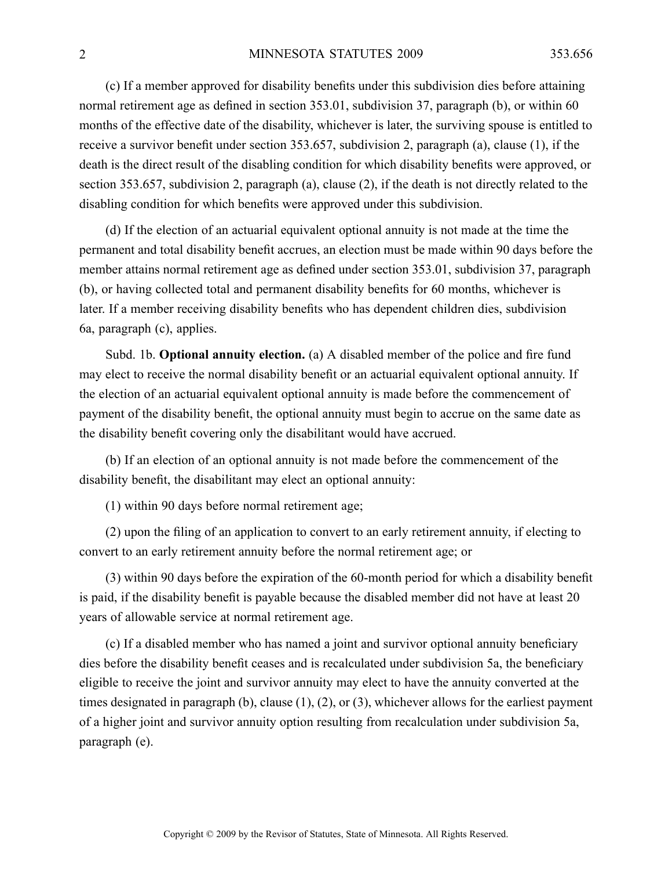(c) If <sup>a</sup> member approved for disability benefits under this subdivision dies before attaining normal retirement age as defined in section 353.01, subdivision 37, paragraph (b), or within 60 months of the effective date of the disability, whichever is later, the surviving spouse is entitled to receive <sup>a</sup> survivor benefit under section 353.657, subdivision 2, paragraph (a), clause (1), if the death is the direct result of the disabling condition for which disability benefits were approved, or section 353.657, subdivision 2, paragraph (a), clause (2), if the death is not directly related to the disabling condition for which benefits were approved under this subdivision.

(d) If the election of an actuarial equivalent optional annuity is not made at the time the permanen<sup>t</sup> and total disability benefit accrues, an election must be made within 90 days before the member attains normal retirement age as defined under section 353.01, subdivision 37, paragraph (b), or having collected total and permanen<sup>t</sup> disability benefits for 60 months, whichever is later. If <sup>a</sup> member receiving disability benefits who has dependent children dies, subdivision 6a, paragraph (c), applies.

Subd. 1b. **Optional annuity election.** (a) A disabled member of the police and fire fund may elect to receive the normal disability benefit or an actuarial equivalent optional annuity. If the election of an actuarial equivalent optional annuity is made before the commencement of paymen<sup>t</sup> of the disability benefit, the optional annuity must begin to accrue on the same date as the disability benefit covering only the disabilitant would have accrued.

(b) If an election of an optional annuity is not made before the commencement of the disability benefit, the disabilitant may elect an optional annuity:

(1) within 90 days before normal retirement age;

(2) upon the filing of an application to convert to an early retirement annuity, if electing to convert to an early retirement annuity before the normal retirement age; or

(3) within 90 days before the expiration of the 60-month period for which <sup>a</sup> disability benefit is paid, if the disability benefit is payable because the disabled member did not have at least 20 years of allowable service at normal retirement age.

(c) If <sup>a</sup> disabled member who has named <sup>a</sup> joint and survivor optional annuity beneficiary dies before the disability benefit ceases and is recalculated under subdivision 5a, the beneficiary eligible to receive the joint and survivor annuity may elect to have the annuity converted at the times designated in paragraph (b), clause (1), (2), or (3), whichever allows for the earliest paymen<sup>t</sup> of <sup>a</sup> higher joint and survivor annuity option resulting from recalculation under subdivision 5a, paragraph (e).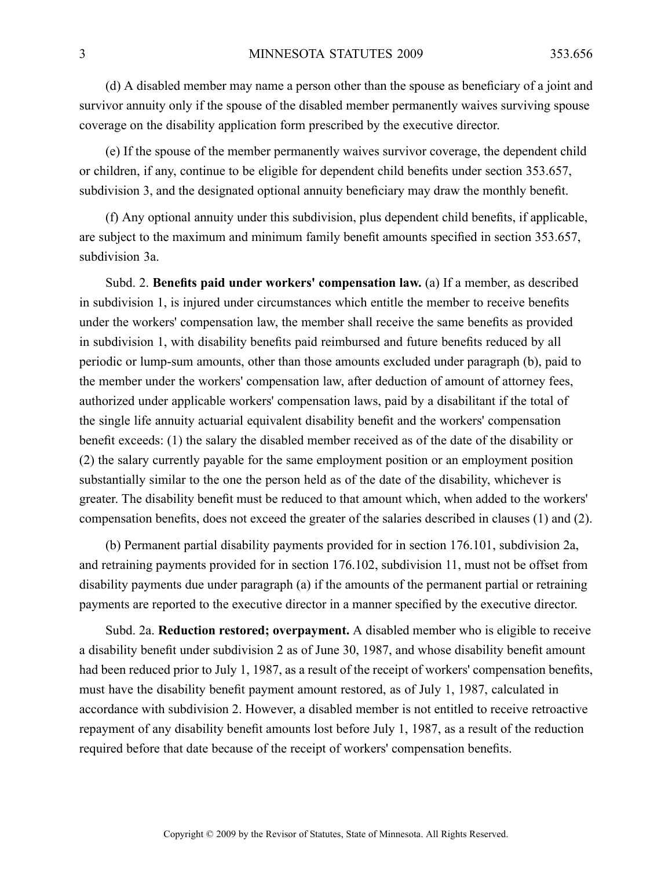(d) A disabled member may name <sup>a</sup> person other than the spouse as beneficiary of <sup>a</sup> joint and survivor annuity only if the spouse of the disabled member permanently waives surviving spouse coverage on the disability application form prescribed by the executive director.

(e) If the spouse of the member permanently waives survivor coverage, the dependent child or children, if any, continue to be eligible for dependent child benefits under section 353.657, subdivision 3, and the designated optional annuity beneficiary may draw the monthly benefit.

(f) Any optional annuity under this subdivision, plus dependent child benefits, if applicable, are subject to the maximum and minimum family benefit amounts specified in section 353.657, subdivision 3a.

Subd. 2. **Benefits paid under workers' compensation law.** (a) If <sup>a</sup> member, as described in subdivision 1, is injured under circumstances which entitle the member to receive benefits under the workers' compensation law, the member shall receive the same benefits as provided in subdivision 1, with disability benefits paid reimbursed and future benefits reduced by all periodic or lump-sum amounts, other than those amounts excluded under paragraph (b), paid to the member under the workers' compensation law, after deduction of amount of attorney fees, authorized under applicable workers' compensation laws, paid by <sup>a</sup> disabilitant if the total of the single life annuity actuarial equivalent disability benefit and the workers' compensation benefit exceeds: (1) the salary the disabled member received as of the date of the disability or (2) the salary currently payable for the same employment position or an employment position substantially similar to the one the person held as of the date of the disability, whichever is greater. The disability benefit must be reduced to that amount which, when added to the workers' compensation benefits, does not exceed the greater of the salaries described in clauses (1) and (2).

(b) Permanent partial disability payments provided for in section 176.101, subdivision 2a, and retraining payments provided for in section 176.102, subdivision 11, must not be offset from disability payments due under paragraph (a) if the amounts of the permanen<sup>t</sup> partial or retraining payments are reported to the executive director in <sup>a</sup> manner specified by the executive director.

Subd. 2a. **Reduction restored; overpayment.** Adisabled member who is eligible to receive <sup>a</sup> disability benefit under subdivision 2 as of June 30, 1987, and whose disability benefit amount had been reduced prior to July 1, 1987, as <sup>a</sup> result of the receipt of workers' compensation benefits, must have the disability benefit paymen<sup>t</sup> amount restored, as of July 1, 1987, calculated in accordance with subdivision 2. However, <sup>a</sup> disabled member is not entitled to receive retroactive repaymen<sup>t</sup> of any disability benefit amounts lost before July 1, 1987, as <sup>a</sup> result of the reduction required before that date because of the receipt of workers' compensation benefits.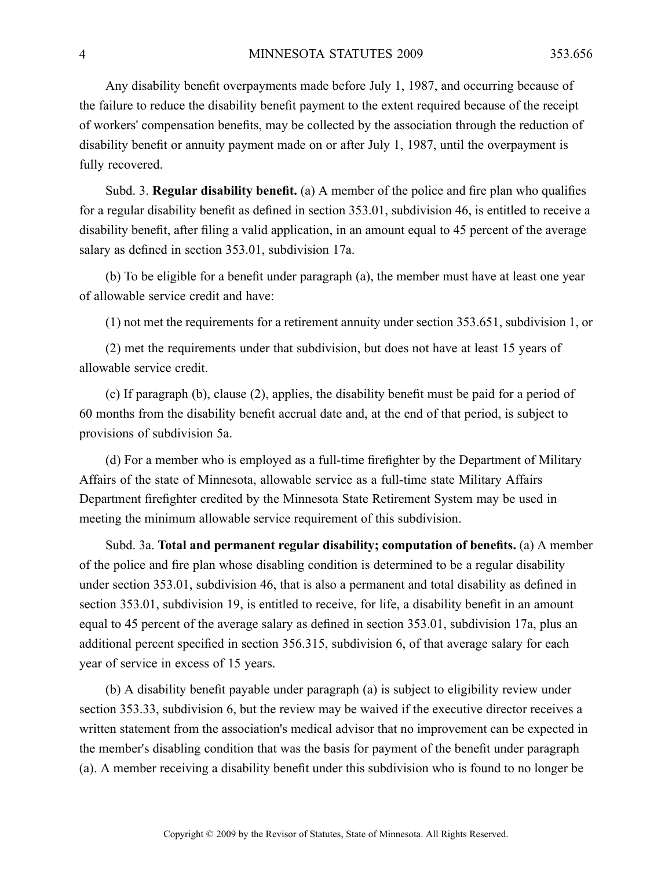Any disability benefit overpayments made before July 1, 1987, and occurring because of the failure to reduce the disability benefit paymen<sup>t</sup> to the extent required because of the receipt of workers' compensation benefits, may be collected by the association through the reduction of disability benefit or annuity paymen<sup>t</sup> made on or after July 1, 1987, until the overpaymen<sup>t</sup> is fully recovered.

Subd. 3. **Regular disability benefit.** (a) A member of the police and fire plan who qualifies for <sup>a</sup> regular disability benefit as defined in section 353.01, subdivision 46, is entitled to receive <sup>a</sup> disability benefit, after filing <sup>a</sup> valid application, in an amount equal to 45 percen<sup>t</sup> of the average salary as defined in section 353.01, subdivision 17a.

(b) To be eligible for <sup>a</sup> benefit under paragraph (a), the member must have at least one year of allowable service credit and have:

(1) not met the requirements for <sup>a</sup> retirement annuity under section 353.651, subdivision 1, or

(2) met the requirements under that subdivision, but does not have at least 15 years of allowable service credit.

(c) If paragraph (b), clause (2), applies, the disability benefit must be paid for <sup>a</sup> period of 60 months from the disability benefit accrual date and, at the end of that period, is subject to provisions of subdivision 5a.

(d) For <sup>a</sup> member who is employed as <sup>a</sup> full-time firefighter by the Department of Military Affairs of the state of Minnesota, allowable service as <sup>a</sup> full-time state Military Affairs Department firefighter credited by the Minnesota State Retirement System may be used in meeting the minimum allowable service requirement of this subdivision.

Subd. 3a. **Total and permanen<sup>t</sup> regular disability; computation of benefits.** (a) A member of the police and fire plan whose disabling condition is determined to be <sup>a</sup> regular disability under section 353.01, subdivision 46, that is also <sup>a</sup> permanen<sup>t</sup> and total disability as defined in section 353.01, subdivision 19, is entitled to receive, for life, <sup>a</sup> disability benefit in an amount equal to 45 percen<sup>t</sup> of the average salary as defined in section 353.01, subdivision 17a, plus an additional percen<sup>t</sup> specified in section 356.315, subdivision 6, of that average salary for each year of service in excess of 15 years.

(b) A disability benefit payable under paragraph (a) is subject to eligibility review under section 353.33, subdivision 6, but the review may be waived if the executive director receives <sup>a</sup> written statement from the association's medical advisor that no improvement can be expected in the member's disabling condition that was the basis for paymen<sup>t</sup> of the benefit under paragraph (a). Amember receiving <sup>a</sup> disability benefit under this subdivision who is found to no longer be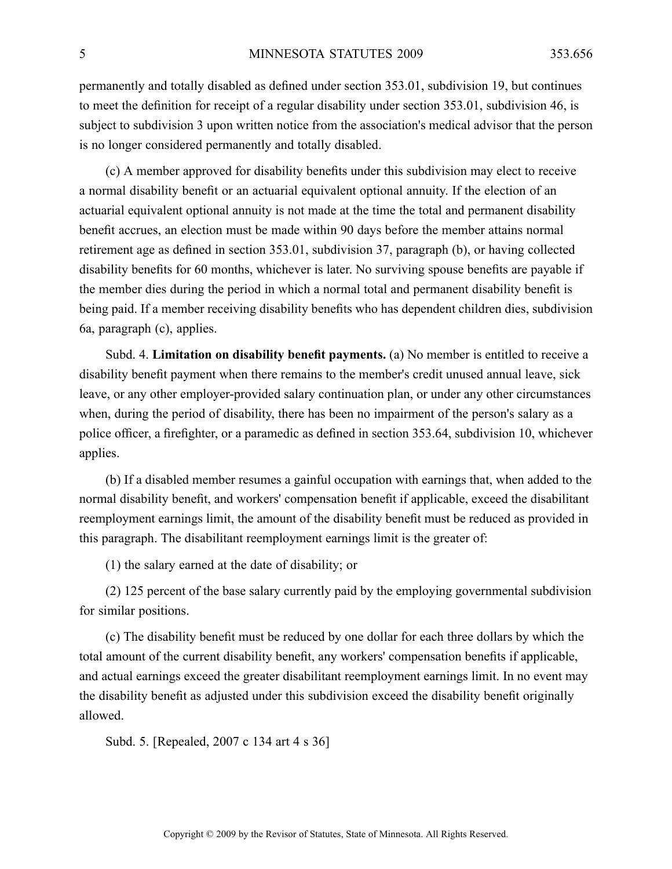permanently and totally disabled as defined under section 353.01, subdivision 19, but continues to meet the definition for receipt of <sup>a</sup> regular disability under section 353.01, subdivision 46, is subject to subdivision 3 upon written notice from the association's medical advisor that the person is no longer considered permanently and totally disabled.

(c) A member approved for disability benefits under this subdivision may elect to receive <sup>a</sup> normal disability benefit or an actuarial equivalent optional annuity. If the election of an actuarial equivalent optional annuity is not made at the time the total and permanen<sup>t</sup> disability benefit accrues, an election must be made within 90 days before the member attains normal retirement age as defined in section 353.01, subdivision 37, paragraph (b), or having collected disability benefits for 60 months, whichever is later. No surviving spouse benefits are payable if the member dies during the period in which <sup>a</sup> normal total and permanen<sup>t</sup> disability benefit is being paid. If <sup>a</sup> member receiving disability benefits who has dependent children dies, subdivision 6a, paragraph (c), applies.

Subd. 4. **Limitation on disability benefit payments.** (a) No member is entitled to receive <sup>a</sup> disability benefit paymen<sup>t</sup> when there remains to the member's credit unused annual leave, sick leave, or any other employer-provided salary continuation plan, or under any other circumstances when, during the period of disability, there has been no impairment of the person's salary as <sup>a</sup> police officer, <sup>a</sup> firefighter, or <sup>a</sup> paramedic as defined in section 353.64, subdivision 10, whichever applies.

(b) If <sup>a</sup> disabled member resumes <sup>a</sup> gainful occupation with earnings that, when added to the normal disability benefit, and workers' compensation benefit if applicable, exceed the disabilitant reemployment earnings limit, the amount of the disability benefit must be reduced as provided in this paragraph. The disabilitant reemployment earnings limit is the greater of:

(1) the salary earned at the date of disability; or

(2) 125 percen<sup>t</sup> of the base salary currently paid by the employing governmental subdivision for similar positions.

(c) The disability benefit must be reduced by one dollar for each three dollars by which the total amount of the current disability benefit, any workers' compensation benefits if applicable, and actual earnings exceed the greater disabilitant reemployment earnings limit. In no event may the disability benefit as adjusted under this subdivision exceed the disability benefit originally allowed.

Subd. 5. [Repealed, 2007 <sup>c</sup> 134 art 4 <sup>s</sup> 36]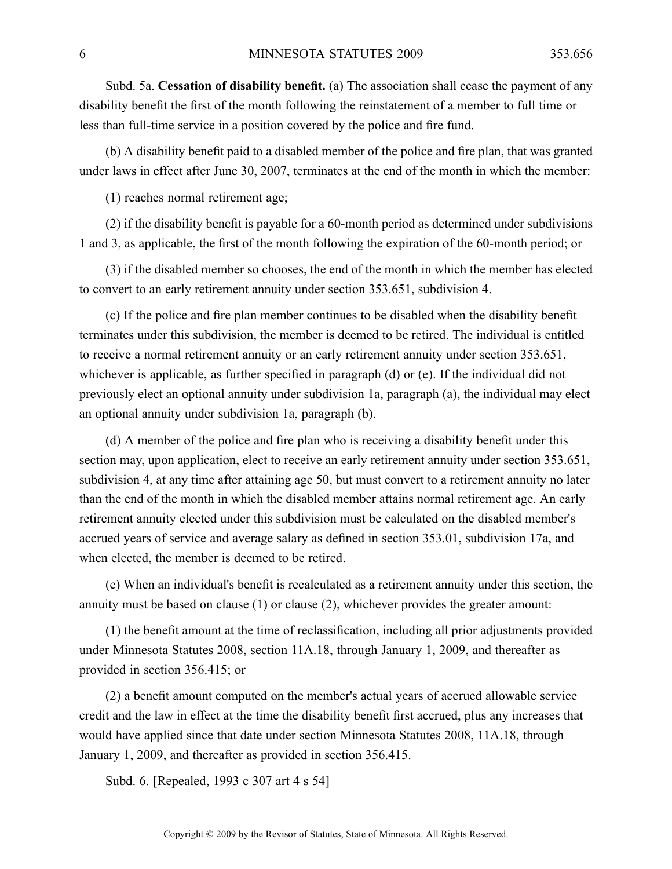Subd. 5a. **Cessation of disability benefit.** (a) The association shall cease the paymen<sup>t</sup> of any disability benefit the first of the month following the reinstatement of <sup>a</sup> member to full time or less than full-time service in <sup>a</sup> position covered by the police and fire fund.

(b) A disability benefit paid to <sup>a</sup> disabled member of the police and fire plan, that was granted under laws in effect after June 30, 2007, terminates at the end of the month in which the member:

(1) reaches normal retirement age;

(2) if the disability benefit is payable for <sup>a</sup> 60-month period as determined under subdivisions 1 and 3, as applicable, the first of the month following the expiration of the 60-month period; or

(3) if the disabled member so chooses, the end of the month in which the member has elected to convert to an early retirement annuity under section 353.651, subdivision 4.

(c) If the police and fire plan member continues to be disabled when the disability benefit terminates under this subdivision, the member is deemed to be retired. The individual is entitled to receive <sup>a</sup> normal retirement annuity or an early retirement annuity under section 353.651, whichever is applicable, as further specified in paragraph (d) or (e). If the individual did not previously elect an optional annuity under subdivision 1a, paragraph (a), the individual may elect an optional annuity under subdivision 1a, paragraph (b).

(d) A member of the police and fire plan who is receiving <sup>a</sup> disability benefit under this section may, upon application, elect to receive an early retirement annuity under section 353.651, subdivision 4, at any time after attaining age 50, but must convert to <sup>a</sup> retirement annuity no later than the end of the month in which the disabled member attains normal retirement age. An early retirement annuity elected under this subdivision must be calculated on the disabled member's accrued years of service and average salary as defined in section 353.01, subdivision 17a, and when elected, the member is deemed to be retired.

(e) When an individual's benefit is recalculated as <sup>a</sup> retirement annuity under this section, the annuity must be based on clause (1) or clause (2), whichever provides the greater amount:

(1) the benefit amount at the time of reclassification, including all prior adjustments provided under Minnesota Statutes 2008, section 11A.18, through January 1, 2009, and thereafter as provided in section 356.415; or

(2) <sup>a</sup> benefit amount computed on the member's actual years of accrued allowable service credit and the law in effect at the time the disability benefit first accrued, plus any increases that would have applied since that date under section Minnesota Statutes 2008, 11A.18, through January 1, 2009, and thereafter as provided in section 356.415.

Subd. 6. [Repealed, 1993 <sup>c</sup> 307 art 4 <sup>s</sup> 54]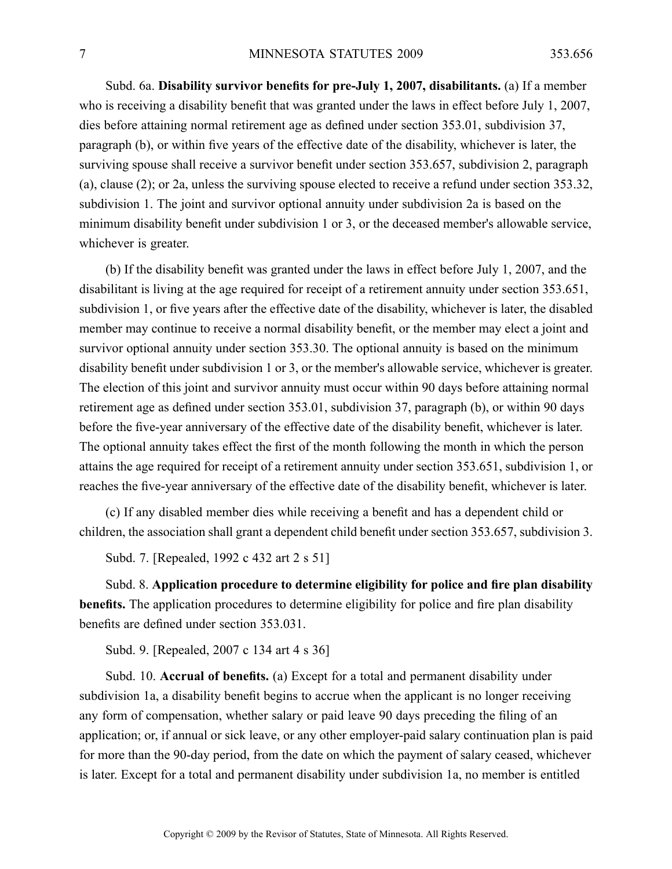Subd. 6a. **Disability survivor benefits for pre-July 1, 2007, disabilitants.** (a) If <sup>a</sup> member who is receiving <sup>a</sup> disability benefit that was granted under the laws in effect before July 1, 2007, dies before attaining normal retirement age as defined under section 353.01, subdivision 37, paragraph (b), or within five years of the effective date of the disability, whichever is later, the surviving spouse shall receive <sup>a</sup> survivor benefit under section 353.657, subdivision 2, paragraph (a), clause (2); or 2a, unless the surviving spouse elected to receive <sup>a</sup> refund under section 353.32, subdivision 1. The joint and survivor optional annuity under subdivision 2a is based on the minimum disability benefit under subdivision 1 or 3, or the deceased member's allowable service, whichever is greater.

(b) If the disability benefit was granted under the laws in effect before July 1, 2007, and the disabilitant is living at the age required for receipt of <sup>a</sup> retirement annuity under section 353.651, subdivision 1, or five years after the effective date of the disability, whichever is later, the disabled member may continue to receive <sup>a</sup> normal disability benefit, or the member may elect <sup>a</sup> joint and survivor optional annuity under section 353.30. The optional annuity is based on the minimum disability benefit under subdivision 1 or 3, or the member's allowable service, whichever is greater. The election of this joint and survivor annuity must occur within 90 days before attaining normal retirement age as defined under section 353.01, subdivision 37, paragraph (b), or within 90 days before the five-year anniversary of the effective date of the disability benefit, whichever is later. The optional annuity takes effect the first of the month following the month in which the person attains the age required for receipt of <sup>a</sup> retirement annuity under section 353.651, subdivision 1, or reaches the five-year anniversary of the effective date of the disability benefit, whichever is later.

(c) If any disabled member dies while receiving <sup>a</sup> benefit and has <sup>a</sup> dependent child or children, the association shall gran<sup>t</sup> <sup>a</sup> dependent child benefit under section 353.657, subdivision 3.

Subd. 7. [Repealed, 1992 <sup>c</sup> 432 art 2 <sup>s</sup> 51]

Subd. 8. **Application procedure to determine eligibility for police and fire plan disability benefits.** The application procedures to determine eligibility for police and fire plan disability benefits are defined under section 353.031.

Subd. 9. [Repealed, 2007 <sup>c</sup> 134 art 4 <sup>s</sup> 36]

Subd. 10. **Accrual of benefits.** (a) Except for <sup>a</sup> total and permanen<sup>t</sup> disability under subdivision 1a, <sup>a</sup> disability benefit begins to accrue when the applicant is no longer receiving any form of compensation, whether salary or paid leave 90 days preceding the filing of an application; or, if annual or sick leave, or any other employer-paid salary continuation plan is paid for more than the 90-day period, from the date on which the paymen<sup>t</sup> of salary ceased, whichever is later. Except for <sup>a</sup> total and permanen<sup>t</sup> disability under subdivision 1a, no member is entitled